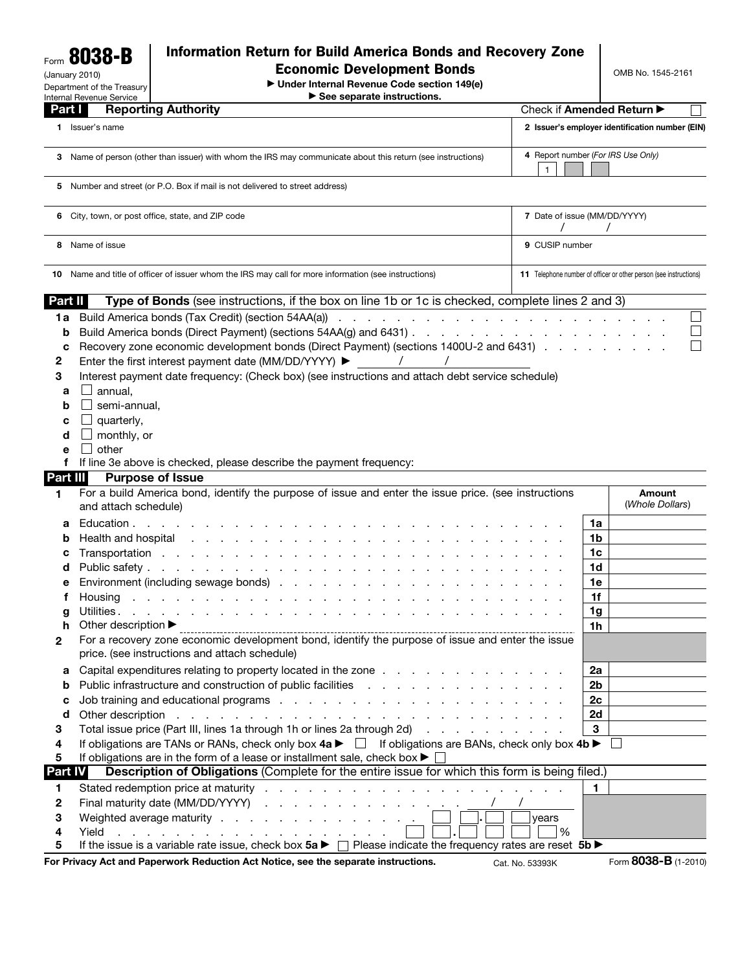Form 8038-B (January 2010) Department of the Treasury

## Information Return for Build America Bonds and Recovery Zone

Economic Development Bonds

© **Under Internal Revenue Code section 149(e)**

OMB No. 1545-2161

| $\triangleright$ See separate instructions. |  |
|---------------------------------------------|--|
|---------------------------------------------|--|

|                                                 | $\blacktriangleright$ See separate instructions.<br>Internal Revenue Service                                                                                                                                                                                                                                                                                                                           |                              |                                                                   |  |
|-------------------------------------------------|--------------------------------------------------------------------------------------------------------------------------------------------------------------------------------------------------------------------------------------------------------------------------------------------------------------------------------------------------------------------------------------------------------|------------------------------|-------------------------------------------------------------------|--|
| Part I                                          | <b>Reporting Authority</b>                                                                                                                                                                                                                                                                                                                                                                             |                              | Check if Amended Return ▶                                         |  |
|                                                 | 1 Issuer's name                                                                                                                                                                                                                                                                                                                                                                                        |                              | 2 Issuer's employer identification number (EIN)                   |  |
|                                                 | 3 Name of person (other than issuer) with whom the IRS may communicate about this return (see instructions)                                                                                                                                                                                                                                                                                            | $\mathbf{1}$                 | 4 Report number (For IRS Use Only)                                |  |
|                                                 | 5 Number and street (or P.O. Box if mail is not delivered to street address)                                                                                                                                                                                                                                                                                                                           |                              |                                                                   |  |
|                                                 | 6 City, town, or post office, state, and ZIP code                                                                                                                                                                                                                                                                                                                                                      | 7 Date of issue (MM/DD/YYYY) |                                                                   |  |
|                                                 | 8 Name of issue                                                                                                                                                                                                                                                                                                                                                                                        | 9 CUSIP number               |                                                                   |  |
|                                                 | 10 Name and title of officer of issuer whom the IRS may call for more information (see instructions)                                                                                                                                                                                                                                                                                                   |                              | 11 Telephone number of officer or other person (see instructions) |  |
| Part II                                         | Type of Bonds (see instructions, if the box on line 1b or 1c is checked, complete lines 2 and 3)                                                                                                                                                                                                                                                                                                       |                              |                                                                   |  |
| 1a<br>b<br>с<br>2<br>3<br>a<br>b<br>с<br>d<br>е | Build America bonds (Tax Credit) (section 54AA(a))<br>Recovery zone economic development bonds (Direct Payment) (sections 1400U-2 and 6431)<br>Enter the first interest payment date (MM/DD/YYYY) ▶<br>$\sqrt{2}$<br>Interest payment date frequency: (Check box) (see instructions and attach debt service schedule)<br>annual,<br>$\mathsf{L}$<br>semi-annual,<br>quarterly,<br>monthly, or<br>other |                              |                                                                   |  |
| f                                               | If line 3e above is checked, please describe the payment frequency:                                                                                                                                                                                                                                                                                                                                    |                              |                                                                   |  |
| <b>Part III</b>                                 | <b>Purpose of Issue</b>                                                                                                                                                                                                                                                                                                                                                                                |                              |                                                                   |  |
| 1.                                              | For a build America bond, identify the purpose of issue and enter the issue price. (see instructions<br>and attach schedule)                                                                                                                                                                                                                                                                           |                              | Amount<br>(Whole Dollars)                                         |  |
| а                                               | Education.<br>the contract of the contract of the contract of the contract of                                                                                                                                                                                                                                                                                                                          |                              | 1a                                                                |  |
| b                                               | Health and hospital research research research in the second research in the second results of the second result                                                                                                                                                                                                                                                                                       |                              | 1b                                                                |  |
| с                                               |                                                                                                                                                                                                                                                                                                                                                                                                        |                              | 1c                                                                |  |
| d                                               |                                                                                                                                                                                                                                                                                                                                                                                                        |                              | 1d                                                                |  |
| е                                               | Environment (including sewage bonds)                                                                                                                                                                                                                                                                                                                                                                   |                              | 1e                                                                |  |
|                                                 | Housing                                                                                                                                                                                                                                                                                                                                                                                                |                              | 1f<br>1g                                                          |  |
| g<br>h                                          | Other description $\blacktriangleright$                                                                                                                                                                                                                                                                                                                                                                |                              | 1 <sub>h</sub>                                                    |  |
|                                                 | For a recovery zone economic development bond, identify the purpose of issue and enter the issue<br>price. (see instructions and attach schedule)                                                                                                                                                                                                                                                      |                              |                                                                   |  |
| а                                               | Capital expenditures relating to property located in the zone                                                                                                                                                                                                                                                                                                                                          |                              | 2a                                                                |  |
| b                                               | Public infrastructure and construction of public facilities enterstanding to the constructure and construction of public facilities                                                                                                                                                                                                                                                                    |                              | 2b                                                                |  |
| с                                               |                                                                                                                                                                                                                                                                                                                                                                                                        |                              | 2c                                                                |  |
| d                                               | Other description research and response to the contract of the contract of the contract of the contract of the contract of the contract of the contract of the contract of the contract of the contract of the contract of the                                                                                                                                                                         |                              | 2d                                                                |  |
| 3                                               | Total issue price (Part III, lines 1a through 1h or lines 2a through 2d)                                                                                                                                                                                                                                                                                                                               |                              | 3                                                                 |  |
| 4<br>5                                          | If obligations are TANs or RANs, check only box $4a \triangleright \square$ If obligations are BANs, check only box $4b \triangleright$<br>If obligations are in the form of a lease or installment sale, check box $\blacktriangleright$                                                                                                                                                              |                              |                                                                   |  |
| <b>Part IV</b>                                  | Description of Obligations (Complete for the entire issue for which this form is being filed.)                                                                                                                                                                                                                                                                                                         |                              |                                                                   |  |
| 1.                                              |                                                                                                                                                                                                                                                                                                                                                                                                        | <b>Contract Contract</b>     | 1                                                                 |  |
| 2                                               | Final maturity date (MM/DD/YYYY)                                                                                                                                                                                                                                                                                                                                                                       |                              |                                                                   |  |
| 3                                               | Weighted average maturity                                                                                                                                                                                                                                                                                                                                                                              | years                        |                                                                   |  |
| 4<br>5                                          | Yield<br>a na mana na mana a mana<br>the contract of the contract of the contract of the contract of the contract of<br>If the issue is a variable rate issue, check box $5a \triangleright \square$ Please indicate the frequency rates are reset $5b \triangleright$                                                                                                                                 | $\frac{9}{6}$                |                                                                   |  |
|                                                 |                                                                                                                                                                                                                                                                                                                                                                                                        |                              |                                                                   |  |

For Privacy Act and Paperwork Reduction Act Notice, see the separate instructions. Cat. No. 53393K Form **8038-B** (1-2010)